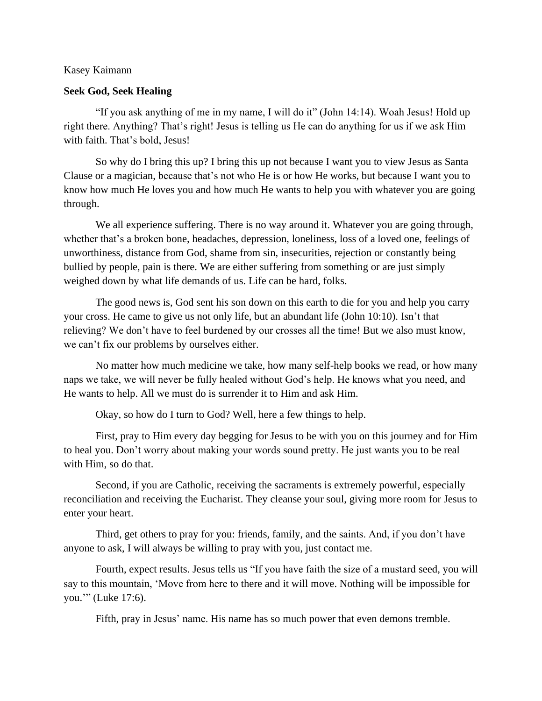## Kasey Kaimann

## **Seek God, Seek Healing**

"If you ask anything of me in my name, I will do it" (John 14:14). Woah Jesus! Hold up right there. Anything? That's right! Jesus is telling us He can do anything for us if we ask Him with faith. That's bold, Jesus!

So why do I bring this up? I bring this up not because I want you to view Jesus as Santa Clause or a magician, because that's not who He is or how He works, but because I want you to know how much He loves you and how much He wants to help you with whatever you are going through.

We all experience suffering. There is no way around it. Whatever you are going through, whether that's a broken bone, headaches, depression, loneliness, loss of a loved one, feelings of unworthiness, distance from God, shame from sin, insecurities, rejection or constantly being bullied by people, pain is there. We are either suffering from something or are just simply weighed down by what life demands of us. Life can be hard, folks.

The good news is, God sent his son down on this earth to die for you and help you carry your cross. He came to give us not only life, but an abundant life (John 10:10). Isn't that relieving? We don't have to feel burdened by our crosses all the time! But we also must know, we can't fix our problems by ourselves either.

No matter how much medicine we take, how many self-help books we read, or how many naps we take, we will never be fully healed without God's help. He knows what you need, and He wants to help. All we must do is surrender it to Him and ask Him.

Okay, so how do I turn to God? Well, here a few things to help.

First, pray to Him every day begging for Jesus to be with you on this journey and for Him to heal you. Don't worry about making your words sound pretty. He just wants you to be real with Him, so do that.

Second, if you are Catholic, receiving the sacraments is extremely powerful, especially reconciliation and receiving the Eucharist. They cleanse your soul, giving more room for Jesus to enter your heart.

Third, get others to pray for you: friends, family, and the saints. And, if you don't have anyone to ask, I will always be willing to pray with you, just contact me.

Fourth, expect results. Jesus tells us "If you have faith the size of a mustard seed, you will say to this mountain, 'Move from here to there and it will move. Nothing will be impossible for you.'" (Luke 17:6).

Fifth, pray in Jesus' name. His name has so much power that even demons tremble.